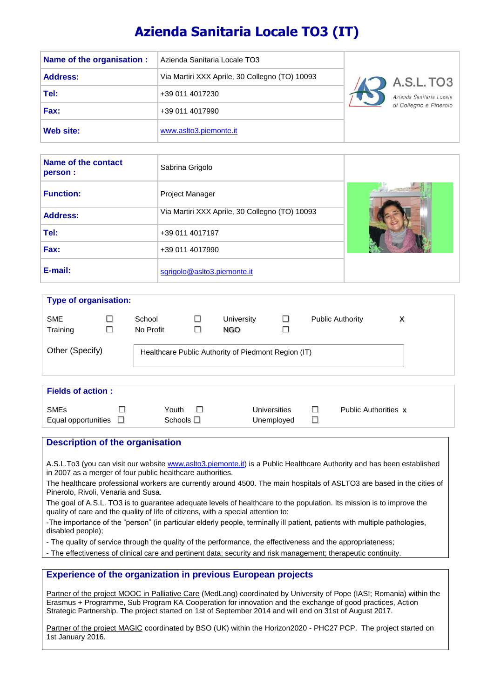# **Azienda Sanitaria Locale TO3 (IT)**

| Name of the organisation : | Azienda Sanitaria Locale TO3                   |                          |
|----------------------------|------------------------------------------------|--------------------------|
| <b>Address:</b>            | Via Martiri XXX Aprile, 30 Collegno (TO) 10093 | A.S.L. TO3               |
| Tel:                       | +39 011 4017230                                | Azienda Sanitaria Locale |
| Fax:                       | +39 011 4017990                                | di Collegno e Pinerolo   |
| Web site:                  | www.aslto3.piemonte.it                         |                          |

| Name of the contact<br>person : | Sabrina Grigolo                                |                                       |
|---------------------------------|------------------------------------------------|---------------------------------------|
| <b>Function:</b>                | <b>Project Manager</b>                         | <b>Concept of the Concept Concept</b> |
| <b>Address:</b>                 | Via Martiri XXX Aprile, 30 Collegno (TO) 10093 |                                       |
| Tel:                            | +39 011 4017197                                |                                       |
| Fax:                            | +39 011 4017990                                |                                       |
| E-mail:                         | sgrigolo@aslto3.piemonte.it                    |                                       |

| <b>Type of organisation:</b> |        |                     |             |                                                     |              |                         |   |
|------------------------------|--------|---------------------|-------------|-----------------------------------------------------|--------------|-------------------------|---|
| <b>SME</b><br>Training       | ш<br>□ | School<br>No Profit | $\Box$<br>□ | University<br>NGO.                                  | ш<br>□       | <b>Public Authority</b> | х |
| Other (Specify)              |        |                     |             | Healthcare Public Authority of Piedmont Region (IT) |              |                         |   |
| <b>Fields of action:</b>     |        |                     |             |                                                     |              |                         |   |
| <b>SME<sub>s</sub></b>       |        | Youth               |             |                                                     | Universities | Public Authorities x    |   |

# **Description of the organisation**

A.S.L.To3 (you can visit our website [www.aslto3.piemonte.it\)](http://www.aslto3.piemonte.it/) is a Public Healthcare Authority and has been established in 2007 as a merger of four public healthcare authorities.

The healthcare professional workers are currently around 4500. The main hospitals of ASLTO3 are based in the cities of Pinerolo, Rivoli, Venaria and Susa.

The goal of A.S.L. TO3 is to guarantee adequate levels of healthcare to the population. Its mission is to improve the quality of care and the quality of life of citizens, with a special attention to:

-The importance of the "person" (in particular elderly people, terminally ill patient, patients with multiple pathologies, disabled people);

- The quality of service through the quality of the performance, the effectiveness and the appropriateness;

- The effectiveness of clinical care and pertinent data; security and risk management; therapeutic continuity.

# **Experience of the organization in previous European projects**

Equal opportunities  $\square$  Schools  $\square$  Unemployed  $\square$ 

Partner of the project MOOC in Palliative Care (MedLang) coordinated by University of Pope (IASI; Romania) within the Erasmus + Programme, Sub Program KA Cooperation for innovation and the exchange of good practices, Action Strategic Partnership. The project started on 1st of September 2014 and will end on 31st of August 2017.

Partner of the project MAGIC coordinated by BSO (UK) within the Horizon2020 - PHC27 PCP. The project started on 1st January 2016.